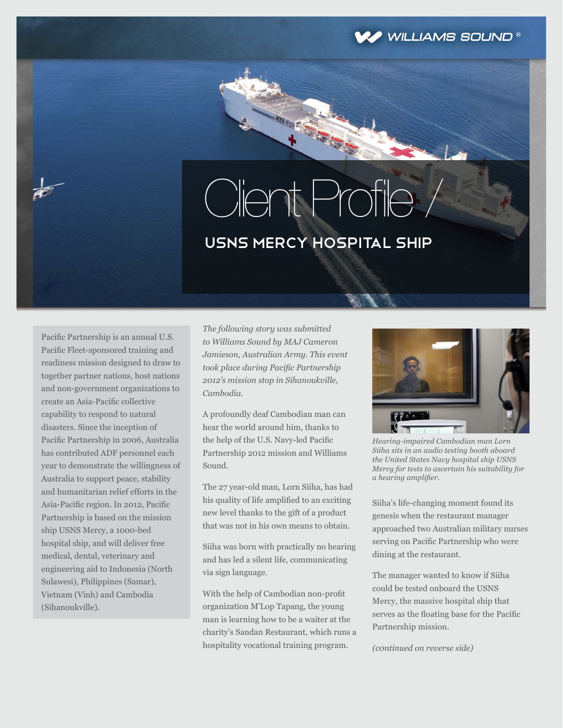

## Client Profile I

## USNS Mercy hospital ship

Pacific Partnership is an annual U.S. Pacific Fleet-sponsored training and readiness mission designed to draw to together partner nations, host nations and non-government organizations to create an Asia-Pacific collective capability to respond to natural disasters. Since the inception of Pacific Partnership in 2006, Australia has contributed ADF personnel each year to demonstrate the willingness of Australia to support peace, stability and humanitarian relief efforts in the Asia-Pacific region. In 2012, Pacific Partnership is based on the mission ship USNS Mercy, a 1000-bed hospital ship, and will deliver free medical, dental, veterinary and engineering aid to Indonesia (North Sulawesi), Philippines (Samar), Vietnam (Vinh) and Cambodia (Sihanoukville).

*The following story was submitted to Williams Sound by MAJ Cameron Jamieson, Australian Army. This event took place during Pacific Partnership 2012's mission stop in Sihanoukville, Cambodia.*

A profoundly deaf Cambodian man can hear the world around him, thanks to the help of the U.S. Navy-led Pacific Partnership 2012 mission and Williams Sound.

The 27 year-old man, Lorn Siiha, has had his quality of life amplified to an exciting new level thanks to the gift of a product that was not in his own means to obtain.

Siiha was born with practically no hearing and has led a silent life, communicating via sign language.

With the help of Cambodian non-profit organization M'Lop Tapang, the young man is learning how to be a waiter at the charity's Sandan Restaurant, which runs a hospitality vocational training program.



*Hearing-impaired Cambodian man Lorn Siiha sits in an audio testing booth aboard the United States Navy hospital ship USNS Mercy for tests to ascertain his suitability for a hearing amplifier.*

Siiha's life-changing moment found its genesis when the restaurant manager approached two Australian military nurses serving on Pacific Partnership who were dining at the restaurant.

The manager wanted to know if Siiha could be tested onboard the USNS Mercy, the massive hospital ship that serves as the floating base for the Pacific Partnership mission.

*(c0ntinued on reverse side)*